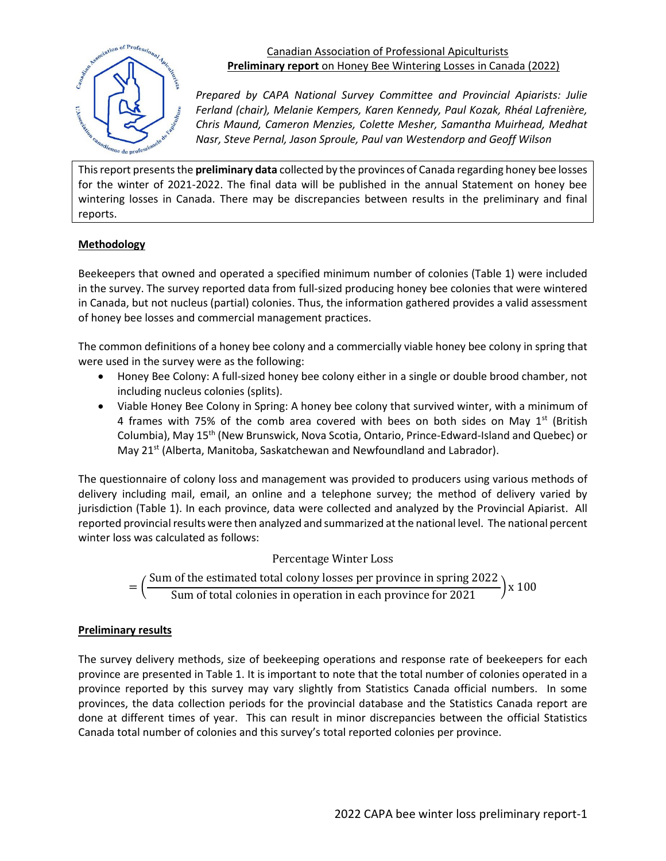

## Canadian Association of Professional Apiculturists **Preliminary report** on Honey Bee Wintering Losses in Canada (2022)

*Prepared by CAPA National Survey Committee and Provincial Apiarists: Julie Ferland (chair), Melanie Kempers, Karen Kennedy, Paul Kozak, Rhéal Lafrenière, Chris Maund, Cameron Menzies, Colette Mesher, Samantha Muirhead, Medhat Nasr, Steve Pernal, Jason Sproule, Paul van Westendorp and Geoff Wilson*

This report presents the **preliminary data** collected by the provinces of Canada regarding honey bee losses for the winter of 2021-2022. The final data will be published in the annual Statement on honey bee wintering losses in Canada. There may be discrepancies between results in the preliminary and final reports.

## **Methodology**

Beekeepers that owned and operated a specified minimum number of colonies (Table 1) were included in the survey. The survey reported data from full-sized producing honey bee colonies that were wintered in Canada, but not nucleus (partial) colonies. Thus, the information gathered provides a valid assessment of honey bee losses and commercial management practices.

The common definitions of a honey bee colony and a commercially viable honey bee colony in spring that were used in the survey were as the following:

- Honey Bee Colony: A full-sized honey bee colony either in a single or double brood chamber, not including nucleus colonies (splits).
- Viable Honey Bee Colony in Spring: A honey bee colony that survived winter, with a minimum of 4 frames with 75% of the comb area covered with bees on both sides on May  $1^{st}$  (British Columbia), May 15<sup>th</sup> (New Brunswick, Nova Scotia, Ontario, Prince-Edward-Island and Quebec) or May 21<sup>st</sup> (Alberta, Manitoba, Saskatchewan and Newfoundland and Labrador).

The questionnaire of colony loss and management was provided to producers using various methods of delivery including mail, email, an online and a telephone survey; the method of delivery varied by jurisdiction (Table 1). In each province, data were collected and analyzed by the Provincial Apiarist. All reported provincial results were then analyzed and summarized at the national level. The national percent winter loss was calculated as follows:

Percentage Winter Loss

= ( Sum of the estimated total colony losses per province in spring 2022 Sum of total colonies in operation in each province for 2021

## **Preliminary results**

The survey delivery methods, size of beekeeping operations and response rate of beekeepers for each province are presented in Table 1. It is important to note that the total number of colonies operated in a province reported by this survey may vary slightly from Statistics Canada official numbers. In some provinces, the data collection periods for the provincial database and the Statistics Canada report are done at different times of year. This can result in minor discrepancies between the official Statistics Canada total number of colonies and this survey's total reported colonies per province.